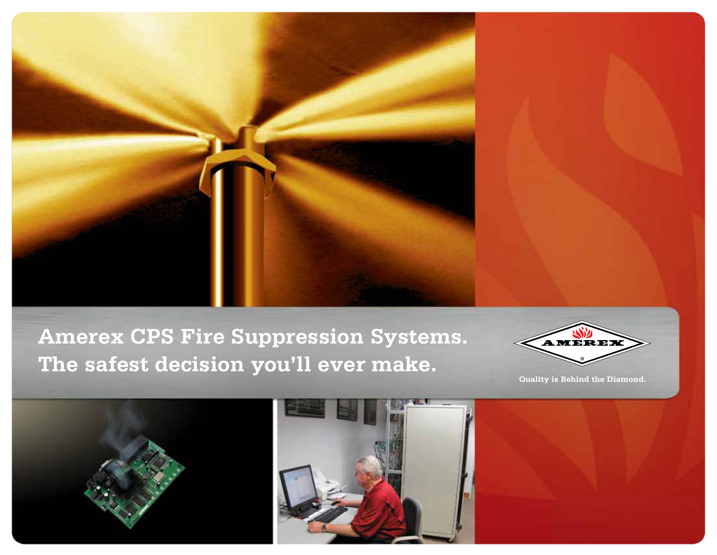

## **Amerex CPS Fire Suppression Systems. The safest decision you'll ever make.**



**Quality is Behind the Diamond.**



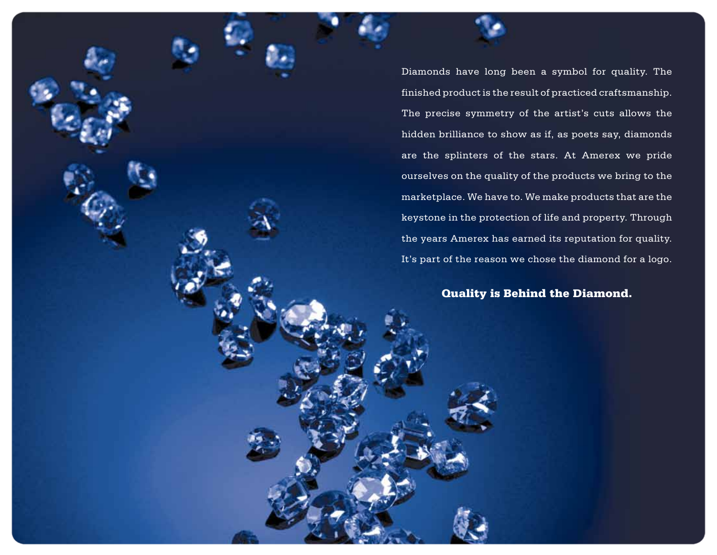Diamonds have long been a symbol for quality. The finished product is the result of practiced craftsmanship. The precise symmetry of the artist's cuts allows the hidden brilliance to show as if, as poets say, diamonds are the splinters of the stars. At Amerex we pride ourselves on the quality of the products we bring to the marketplace. We have to. We make products that are the keystone in the protection of life and property. Through the years Amerex has earned its reputation for quality. It's part of the reason we chose the diamond for a logo.

### Quality is Behind the Diamond.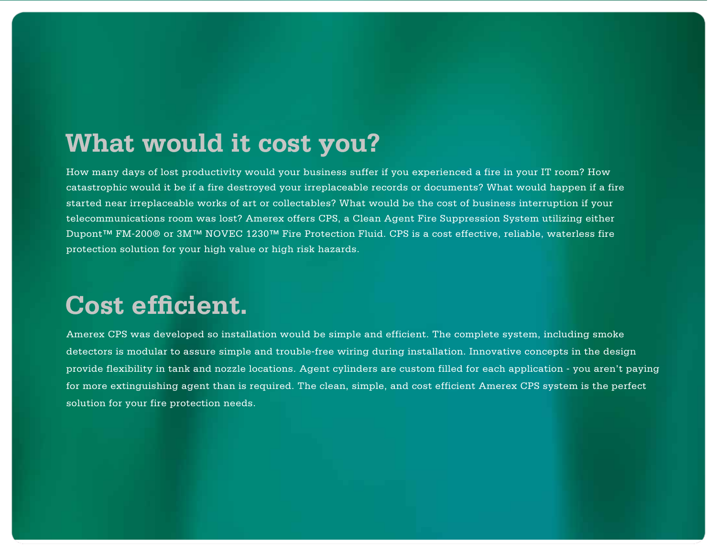## **What would it cost you?**

How many days of lost productivity would your business suffer if you experienced a fire in your IT room? How catastrophic would it be if a fire destroyed your irreplaceable records or documents? What would happen if a fire started near irreplaceable works of art or collectables? What would be the cost of business interruption if your telecommunications room was lost? Amerex offers CPS, a Clean Agent Fire Suppression System utilizing either Dupont™ FM-200® or 3M™ NOVEC 1230™ Fire Protection Fluid. CPS is a cost effective, reliable, waterless fire protection solution for your high value or high risk hazards.

## **Cost efficient.**

Amerex CPS was developed so installation would be simple and efficient. The complete system, including smoke detectors is modular to assure simple and trouble-free wiring during installation. Innovative concepts in the design provide flexibility in tank and nozzle locations. Agent cylinders are custom filled for each application - you aren't paying for more extinguishing agent than is required. The clean, simple, and cost efficient Amerex CPS system is the perfect solution for your fire protection needs.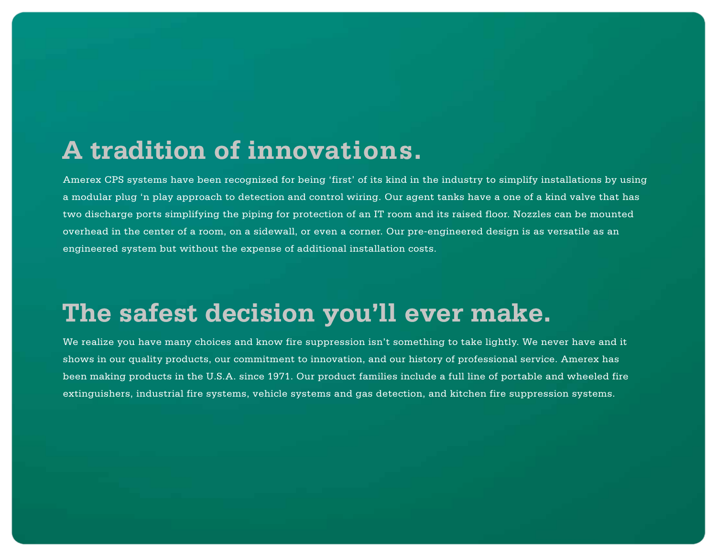# **A tradition of innovations.**

Amerex CPS systems have been recognized for being 'first' of its kind in the industry to simplify installations by using a modular plug 'n play approach to detection and control wiring. Our agent tanks have a one of a kind valve that has two discharge ports simplifying the piping for protection of an IT room and its raised floor. Nozzles can be mounted overhead in the center of a room, on a sidewall, or even a corner. Our pre-engineered design is as versatile as an engineered system but without the expense of additional installation costs.

# **The safest decision you'll ever make.**

We realize you have many choices and know fire suppression isn't something to take lightly. We never have and it shows in our quality products, our commitment to innovation, and our history of professional service. Amerex has been making products in the U.S.A. since 1971. Our product families include a full line of portable and wheeled fire extinguishers, industrial fire systems, vehicle systems and gas detection, and kitchen fire suppression systems.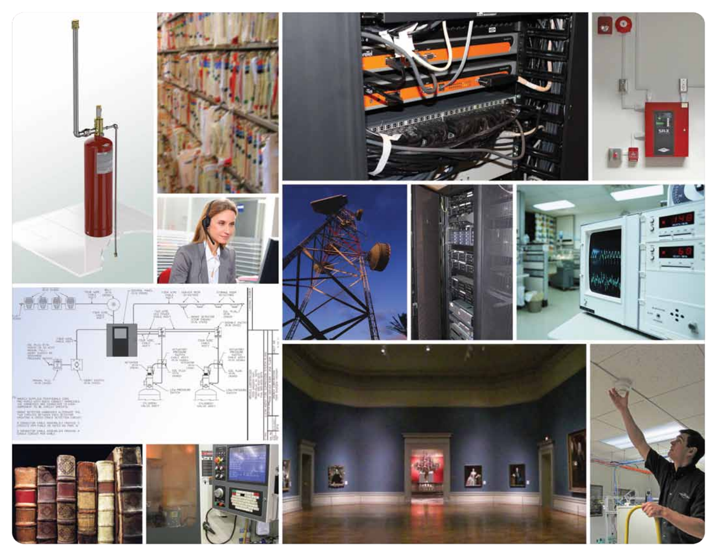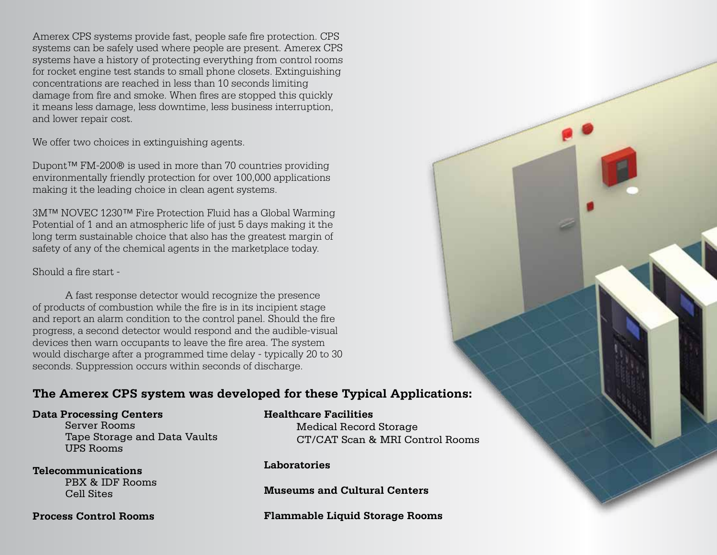Amerex CPS systems provide fast, people safe fire protection. CPS systems can be safely used where people are present. Amerex CPS systems have a history of protecting everything from control rooms for rocket engine test stands to small phone closets. Extinguishing concentrations are reached in less than 10 seconds limiting damage from fire and smoke. When fires are stopped this quickly it means less damage, less downtime, less business interruption, and lower repair cost.

We offer two choices in extinguishing agents.

Dupont™ FM-200® is used in more than 70 countries providing environmentally friendly protection for over 100,000 applications making it the leading choice in clean agent systems.

3M™ NOVEC 1230™ Fire Protection Fluid has a Global Warming Potential of 1 and an atmospheric life of just 5 days making it the long term sustainable choice that also has the greatest margin of safety of any of the chemical agents in the marketplace today.

Should a fire start -

A fast response detector would recognize the presence of products of combustion while the fire is in its incipient stage and report an alarm condition to the control panel. Should the fire progress, a second detector would respond and the audible-visual devices then warn occupants to leave the fire area. The system would discharge after a programmed time delay - typically 20 to 30 seconds. Suppression occurs within seconds of discharge.

### **The Amerex CPS system was developed for these Typical Applications:**

### **Data Processing Centers**

Server Rooms Tape Storage and Data Vaults UPS Rooms

**Telecommunications** PBX & IDF Rooms Cell Sites

**Process Control Rooms**

### **Healthcare Facilities**

Medical Record Storage CT/CAT Scan & MRI Control Rooms

### **Laboratories**

**Museums and Cultural Centers**

**Flammable Liquid Storage Rooms**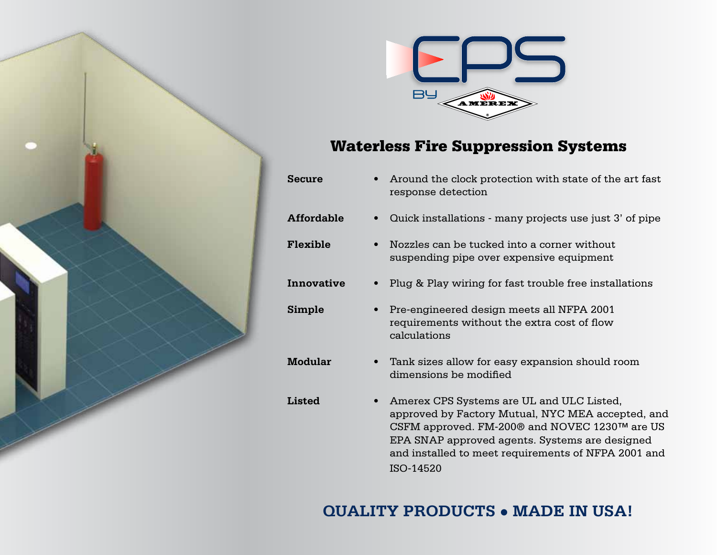

## Waterless Fire Suppression Systems

**Secure Affordable Flexible Innovative Simple Modular Listed** • Around the clock protection with state of the art fast response detection • Quick installations - many projects use just 3' of pipe • Nozzles can be tucked into a corner without suspending pipe over expensive equipment • Plug & Play wiring for fast trouble free installations • Pre-engineered design meets all NFPA 2001 requirements without the extra cost of flow calculations • Tank sizes allow for easy expansion should room dimensions be modified • Amerex CPS Systems are UL and ULC Listed, approved by Factory Mutual, NYC MEA accepted, and CSFM approved. FM-200® and NOVEC 1230™ are US EPA SNAP approved agents. Systems are designed

### **QUALITY PRODUCTS • MADE IN USA!**

ISO-14520

and installed to meet requirements of NFPA 2001 and